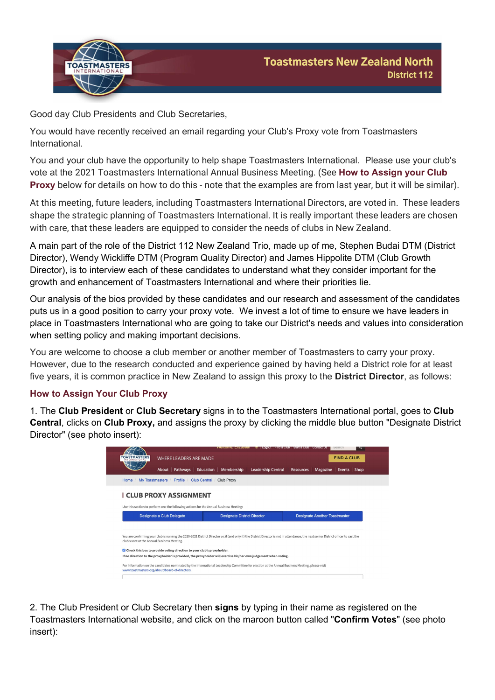



Good day Club Presidents and Club Secretaries,

You would have recently received an email regarding your Club's Proxy vote from Toastmasters International.

You and your club have the opportunity to help shape Toastmasters International. Please use your club's vote at the 2021 Toastmasters International Annual Business Meeting. (See How to Assign your Club Proxy below for details on how to do this - note that the examples are from last year, but it will be similar).

At this meeting, future leaders, including Toastmasters International Directors, are voted in. These leaders shape the strategic planning of Toastmasters International. It is really important these leaders are chosen with care, that these leaders are equipped to consider the needs of clubs in New Zealand.

A main part of the role of the District 112 New Zealand Trio, made up of me, Stephen Budai DTM (District Director), Wendy Wickliffe DTM (Program Quality Director) and James Hippolite DTM (Club Growth Director), is to interview each of these candidates to understand what they consider important for the growth and enhancement of Toastmasters International and where their priorities lie.

Our analysis of the bios provided by these candidates and our research and assessment of the candidates puts us in a good position to carry your proxy vote. We invest a lot of time to ensure we have leaders in place in Toastmasters International who are going to take our District's needs and values into consideration when setting policy and making important decisions.

You are welcome to choose a club member or another member of Toastmasters to carry your proxy. However, due to the research conducted and experience gained by having held a District role for at least five years, it is common practice in New Zealand to assign this proxy to the **District Director**, as follows:

## How to Assign Your Club Proxy

1. The Club President or Club Secretary signs in to the Toastmasters International portal, goes to Club Central, clicks on Club Proxy, and assigns the proxy by clicking the middle blue button "Designate District Director" (see photo insert):

| <b>I CLUB PROXY ASSIGNMENT</b><br>Use this section to perform one the following actions for the Annual Business Meeting:  | My Toastmasters /<br>Profile /<br><b>Club Central</b><br>Club Proxy |                               |  |                    |  |  |  |  |
|---------------------------------------------------------------------------------------------------------------------------|---------------------------------------------------------------------|-------------------------------|--|--------------------|--|--|--|--|
|                                                                                                                           |                                                                     |                               |  |                    |  |  |  |  |
|                                                                                                                           |                                                                     |                               |  |                    |  |  |  |  |
|                                                                                                                           |                                                                     |                               |  |                    |  |  |  |  |
|                                                                                                                           |                                                                     |                               |  |                    |  |  |  |  |
| Pathways  <br>Education<br>Membership<br><b>Leadership Central</b><br>About  <br>Resources  <br>Magazine<br>Events   Shop |                                                                     | <b>WHERE LEADERS ARE MADE</b> |  | <b>FIND A CLUB</b> |  |  |  |  |

2. The Club President or Club Secretary then signs by typing in their name as registered on the Toastmasters International website, and click on the maroon button called "Confirm Votes" (see photo insert):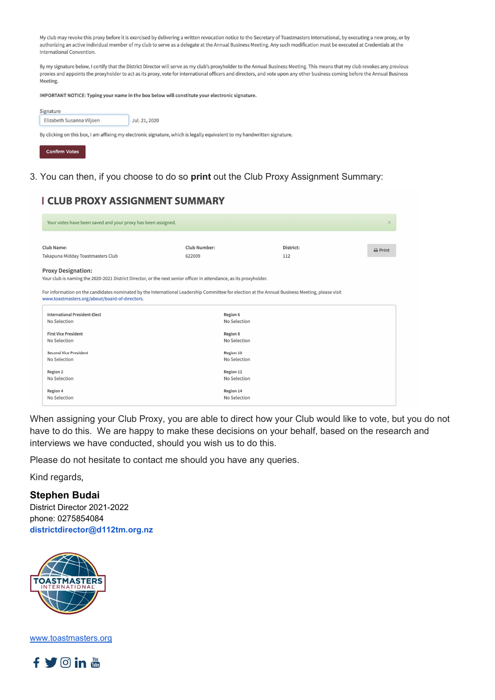My club may revoke this proxy before it is exercised by delivering a written revocation notice to the Secretary of Toastmasters International, by executing a new proxy, or by authorizing an active individual member of my club to serve as a delegate at the Annual Business Meeting. Any such modification must be executed at Credentials at the International Convention.

By my signature below, I certify that the District Director will serve as my club's proxyholder to the Annual Business Meeting. This means that my club revokes any previous proxies and appoints the proxyholder to act as its proxy, vote for international officers and directors, and vote upon any other business coming before the Annual Business Meeting.

IMPORTANT NOTICE: Typing your name in the box below will constitute your electronic signature.

| Signature                 |               |
|---------------------------|---------------|
| Elizabeth Susanna Viljoen | Jul. 21, 2020 |

By clicking on this box, I am affixing my electronic signature, which is legally equivalent to my handwritten signature.



3. You can then, if you choose to do so print out the Club Proxy Assignment Summary:

## **I CLUB PROXY ASSIGNMENT SUMMARY**

| Your votes have been saved and your proxy has been assigned.                                                                                    |              |           |                   |  |  |  |
|-------------------------------------------------------------------------------------------------------------------------------------------------|--------------|-----------|-------------------|--|--|--|
|                                                                                                                                                 |              |           |                   |  |  |  |
| Club Name:                                                                                                                                      | Club Number: | District: | $\bigoplus$ Print |  |  |  |
| Takapuna Midday Toastmasters Club                                                                                                               | 622009       | 112       |                   |  |  |  |
| <b>Proxy Designation:</b>                                                                                                                       |              |           |                   |  |  |  |
| Your club is naming the 2020-2021 District Director, or the next senior officer in attendance, as its proxyholder.                              |              |           |                   |  |  |  |
|                                                                                                                                                 |              |           |                   |  |  |  |
| For information on the candidates nominated by the International Leadership Committee for election at the Annual Business Meeting, please visit |              |           |                   |  |  |  |
| www.toastmasters.org/about/board-of-directors.                                                                                                  |              |           |                   |  |  |  |
| <b>International President-Elect</b>                                                                                                            | Region 6     |           |                   |  |  |  |
| No Selection                                                                                                                                    | No Selection |           |                   |  |  |  |
| <b>First Vice President</b>                                                                                                                     | Region 8     |           |                   |  |  |  |
| No Selection                                                                                                                                    | No Selection |           |                   |  |  |  |
|                                                                                                                                                 |              |           |                   |  |  |  |
| <b>Second Vice President</b><br>Region 10                                                                                                       |              |           |                   |  |  |  |
| No Selection                                                                                                                                    | No Selection |           |                   |  |  |  |
| Region 2                                                                                                                                        | Region 12    |           |                   |  |  |  |
| No Selection                                                                                                                                    | No Selection |           |                   |  |  |  |
| Region 4                                                                                                                                        | Region 14    |           |                   |  |  |  |
| No Selection                                                                                                                                    | No Selection |           |                   |  |  |  |
|                                                                                                                                                 |              |           |                   |  |  |  |

When assigning your Club Proxy, you are able to direct how your Club would like to vote, but you do not have to do this. We are happy to make these decisions on your behalf, based on the research and interviews we have conducted, should you wish us to do this.

Please do not hesitate to contact me should you have any queries.

Kind regards,

## Stephen Budai

District Director 2021-2022 phone: 0275854084 districtdirector@d112tm.org.nz



www.toastmasters.org